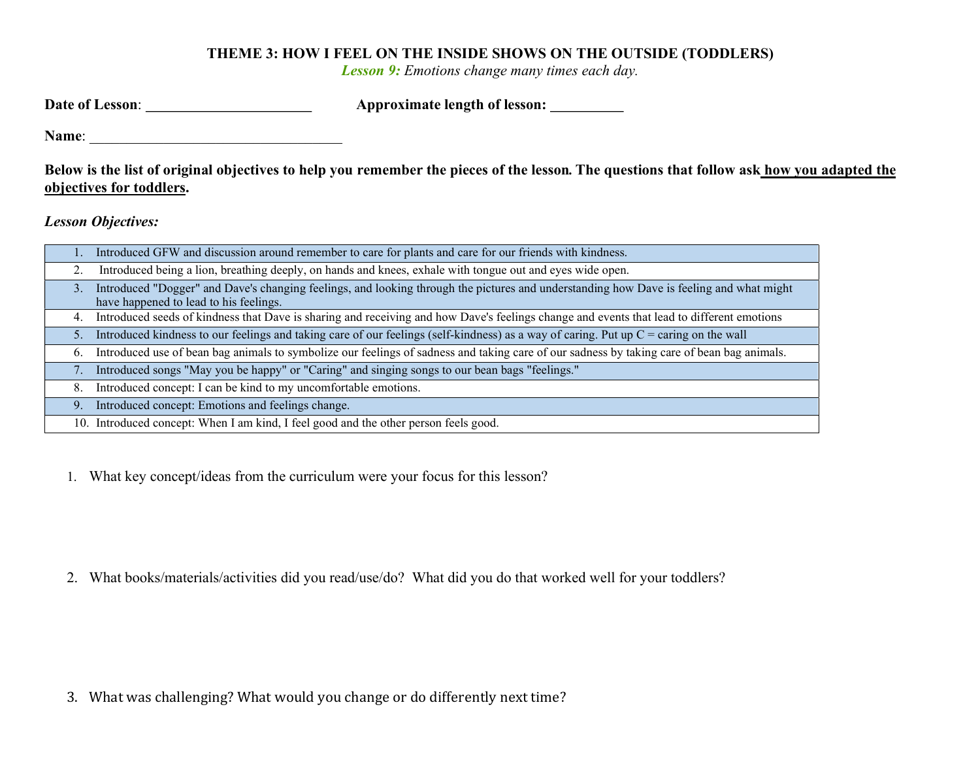## THEME 3: HOW I FEEL ON THE INSIDE SHOWS ON THE OUTSIDE (TODDLERS)

Lesson 9: Emotions change many times each day.

| Date of Lesson: | Approximate length of lesson: |  |
|-----------------|-------------------------------|--|
|                 |                               |  |

Name:

Below is the list of original objectives to help you remember the pieces of the lesson. The questions that follow ask how you adapted the objectives for toddlers.

Lesson Objectives:

|    | Introduced GFW and discussion around remember to care for plants and care for our friends with kindness.                                                                          |
|----|-----------------------------------------------------------------------------------------------------------------------------------------------------------------------------------|
|    | Introduced being a lion, breathing deeply, on hands and knees, exhale with tongue out and eyes wide open.                                                                         |
| 3. | Introduced "Dogger" and Dave's changing feelings, and looking through the pictures and understanding how Dave is feeling and what might<br>have happened to lead to his feelings. |
| 4. | Introduced seeds of kindness that Dave is sharing and receiving and how Dave's feelings change and events that lead to different emotions                                         |
| 5. | Introduced kindness to our feelings and taking care of our feelings (self-kindness) as a way of caring. Put up $C =$ caring on the wall                                           |
| 6. | Introduced use of bean bag animals to symbolize our feelings of sadness and taking care of our sadness by taking care of bean bag animals.                                        |
|    | Introduced songs "May you be happy" or "Caring" and singing songs to our bean bags "feelings."                                                                                    |
| 8. | Introduced concept: I can be kind to my uncomfortable emotions.                                                                                                                   |
| 9. | Introduced concept: Emotions and feelings change.                                                                                                                                 |
|    | 10. Introduced concept: When I am kind, I feel good and the other person feels good.                                                                                              |

1. What key concept/ideas from the curriculum were your focus for this lesson?

2. What books/materials/activities did you read/use/do? What did you do that worked well for your toddlers?

3. What was challenging? What would you change or do differently next time?